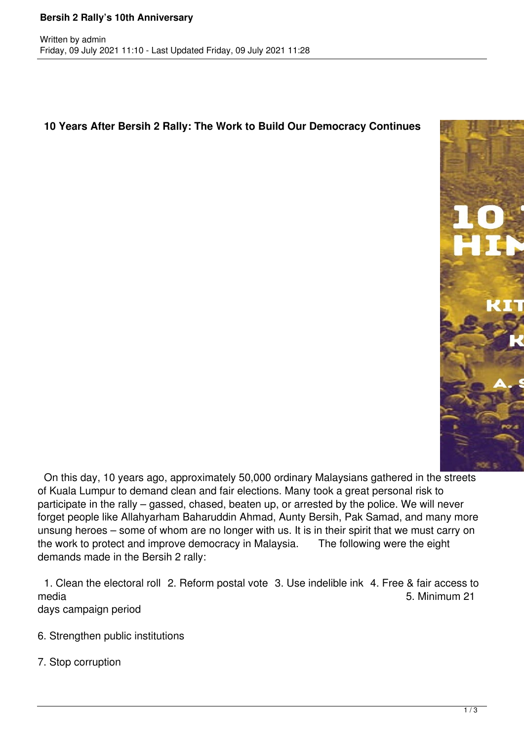## **10 Years After Bersih 2 Rally: The Work to Build Our Democracy Continues**



 On this day, 10 years ago, approximately 50,000 ordinary Malaysians gathered in the streets of Kuala Lumpur to demand clean and fair elections. Many took a great personal risk to participate in the rally – gassed, chased, beaten up, or arrested by the police. We will never forget people like Allahyarham Baharuddin Ahmad, Aunty Bersih, Pak Samad, and many more unsung heroes – some of whom are no longer with us. It is in their spirit that we must carry on the work to protect and improve democracy in Malaysia. The following were the eight demands made in the Bersih 2 rally:

 1. Clean the electoral roll 2. Reform postal vote 3. Use indelible ink 4. Free & fair access to media 5. Minimum 21 days campaign period

- 6. Strengthen public institutions
- 7. Stop corruption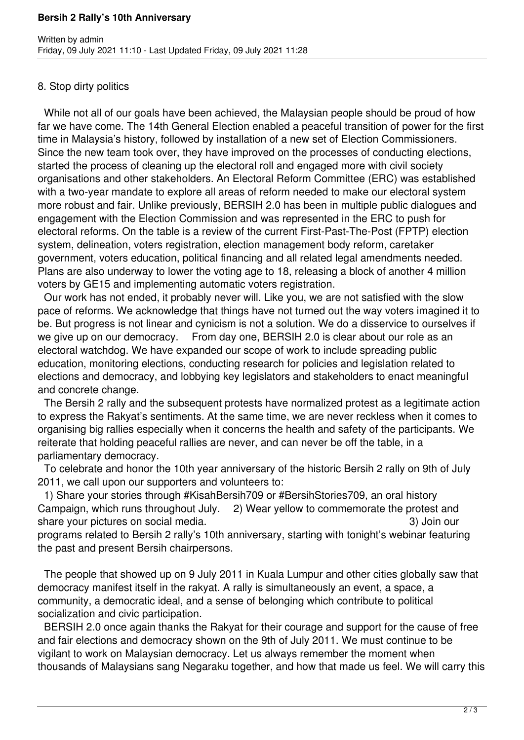## **Bersih 2 Rally's 10th Anniversary**

## 8. Stop dirty politics

 While not all of our goals have been achieved, the Malaysian people should be proud of how far we have come. The 14th General Election enabled a peaceful transition of power for the first time in Malaysia's history, followed by installation of a new set of Election Commissioners. Since the new team took over, they have improved on the processes of conducting elections, started the process of cleaning up the electoral roll and engaged more with civil society organisations and other stakeholders. An Electoral Reform Committee (ERC) was established with a two-year mandate to explore all areas of reform needed to make our electoral system more robust and fair. Unlike previously, BERSIH 2.0 has been in multiple public dialogues and engagement with the Election Commission and was represented in the ERC to push for electoral reforms. On the table is a review of the current First-Past-The-Post (FPTP) election system, delineation, voters registration, election management body reform, caretaker government, voters education, political financing and all related legal amendments needed. Plans are also underway to lower the voting age to 18, releasing a block of another 4 million voters by GE15 and implementing automatic voters registration.

 Our work has not ended, it probably never will. Like you, we are not satisfied with the slow pace of reforms. We acknowledge that things have not turned out the way voters imagined it to be. But progress is not linear and cynicism is not a solution. We do a disservice to ourselves if we give up on our democracy. From day one, BERSIH 2.0 is clear about our role as an electoral watchdog. We have expanded our scope of work to include spreading public education, monitoring elections, conducting research for policies and legislation related to elections and democracy, and lobbying key legislators and stakeholders to enact meaningful and concrete change.

 The Bersih 2 rally and the subsequent protests have normalized protest as a legitimate action to express the Rakyat's sentiments. At the same time, we are never reckless when it comes to organising big rallies especially when it concerns the health and safety of the participants. We reiterate that holding peaceful rallies are never, and can never be off the table, in a parliamentary democracy.

 To celebrate and honor the 10th year anniversary of the historic Bersih 2 rally on 9th of July 2011, we call upon our supporters and volunteers to:

 1) Share your stories through #KisahBersih709 or #BersihStories709, an oral history Campaign, which runs throughout July. 2) Wear yellow to commemorate the protest and share your pictures on social media. 3) Join our

programs related to Bersih 2 rally's 10th anniversary, starting with tonight's webinar featuring the past and present Bersih chairpersons.

 The people that showed up on 9 July 2011 in Kuala Lumpur and other cities globally saw that democracy manifest itself in the rakyat. A rally is simultaneously an event, a space, a community, a democratic ideal, and a sense of belonging which contribute to political socialization and civic participation.

 BERSIH 2.0 once again thanks the Rakyat for their courage and support for the cause of free and fair elections and democracy shown on the 9th of July 2011. We must continue to be vigilant to work on Malaysian democracy. Let us always remember the moment when thousands of Malaysians sang Negaraku together, and how that made us feel. We will carry this